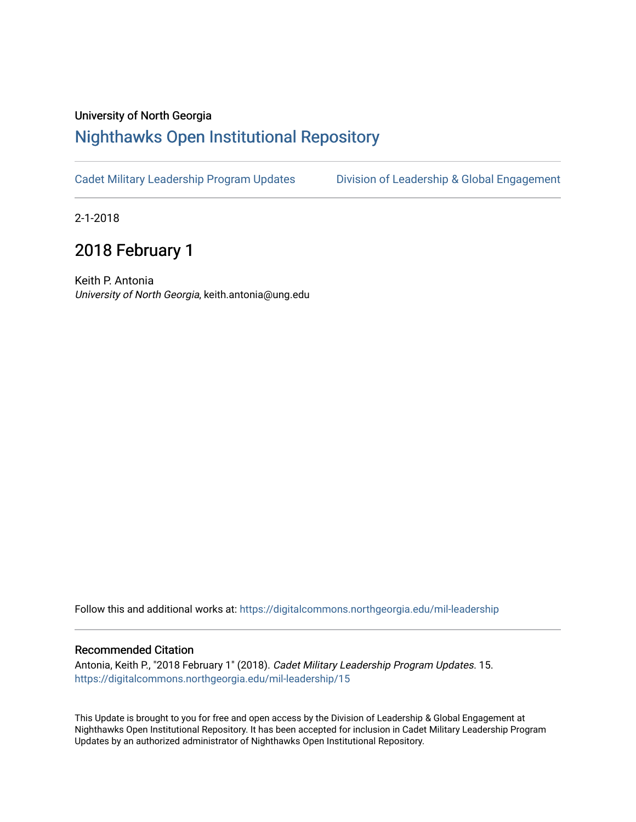## University of North Georgia

## [Nighthawks Open Institutional Repository](https://digitalcommons.northgeorgia.edu/)

[Cadet Military Leadership Program Updates](https://digitalcommons.northgeorgia.edu/mil-leadership) [Division of Leadership & Global Engagement](https://digitalcommons.northgeorgia.edu/leadership) 

2-1-2018

## 2018 February 1

Keith P. Antonia University of North Georgia, keith.antonia@ung.edu

Follow this and additional works at: [https://digitalcommons.northgeorgia.edu/mil-leadership](https://digitalcommons.northgeorgia.edu/mil-leadership?utm_source=digitalcommons.northgeorgia.edu%2Fmil-leadership%2F15&utm_medium=PDF&utm_campaign=PDFCoverPages) 

## Recommended Citation

Antonia, Keith P., "2018 February 1" (2018). Cadet Military Leadership Program Updates. 15. [https://digitalcommons.northgeorgia.edu/mil-leadership/15](https://digitalcommons.northgeorgia.edu/mil-leadership/15?utm_source=digitalcommons.northgeorgia.edu%2Fmil-leadership%2F15&utm_medium=PDF&utm_campaign=PDFCoverPages)

This Update is brought to you for free and open access by the Division of Leadership & Global Engagement at Nighthawks Open Institutional Repository. It has been accepted for inclusion in Cadet Military Leadership Program Updates by an authorized administrator of Nighthawks Open Institutional Repository.